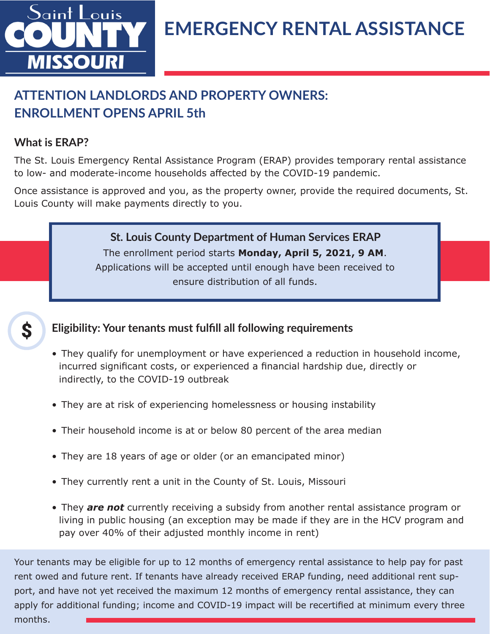

## **EMERGENCY RENTAL ASSISTANCE**

### **ATTENTION LANDLORDS AND PROPERTY OWNERS: ENROLLMENT OPENS APRIL 5th**

### **What is ERAP?**

The St. Louis Emergency Rental Assistance Program (ERAP) provides temporary rental assistance to low- and moderate-income households affected by the COVID-19 pandemic.

Once assistance is approved and you, as the property owner, provide the required documents, St. Louis County will make payments directly to you.

> The enrollment period starts **Monday, April 5, 2021, 9 AM**. Applications will be accepted until enough have been received to ensure distribution of all funds. **St. Louis County Department of Human Services ERAP**



#### **Eligibility: Your tenants must fulfill all following requirements**

- They qualify for unemployment or have experienced a reduction in household income, incurred significant costs, or experienced a financial hardship due, directly or indirectly, to the COVID-19 outbreak
- They are at risk of experiencing homelessness or housing instability
- Their household income is at or below 80 percent of the area median
- They are 18 years of age or older (or an emancipated minor)
- They currently rent a unit in the County of St. Louis, Missouri
- They *are not* currently receiving a subsidy from another rental assistance program or living in public housing (an exception may be made if they are in the HCV program and pay over 40% of their adjusted monthly income in rent)

Your tenants may be eligible for up to 12 months of emergency rental assistance to help pay for past rent owed and future rent. If tenants have already received ERAP funding, need additional rent support, and have not yet received the maximum 12 months of emergency rental assistance, they can apply for additional funding; income and COVID-19 impact will be recertified at minimum every three months.